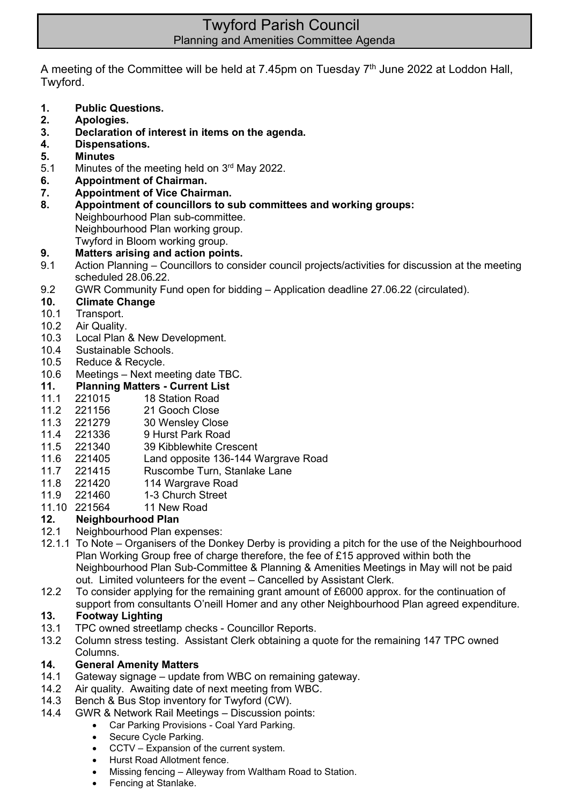# Twyford Parish Council Planning and Amenities Committee Agenda

A meeting of the Committee will be held at 7.45pm on Tuesday 7<sup>th</sup> June 2022 at Loddon Hall, Twyford.

- **1. Public Questions.**
- **2. Apologies.**
- **3. Declaration of interest in items on the agenda.**
- **4. Dispensations.**
- **5. Minutes**
- 5.1 Minutes of the meeting held on  $3<sup>rd</sup>$  May 2022.
- **6. Appointment of Chairman.**
- **7. Appointment of Vice Chairman.**
- **8. Appointment of councillors to sub committees and working groups:** Neighbourhood Plan sub-committee. Neighbourhood Plan working group. Twyford in Bloom working group.
- **9. Matters arising and action points.**
- 9.1 Action Planning Councillors to consider council projects/activities for discussion at the meeting scheduled 28.06.22.
- 9.2 GWR Community Fund open for bidding Application deadline 27.06.22 (circulated).
- **10. Climate Change**
- 10.1 Transport.
- 10.2 Air Quality.
- 10.3 Local Plan & New Development.
- 10.4 Sustainable Schools.
- 10.5 Reduce & Recycle.
- 10.6 Meetings Next meeting date TBC.
- **11. Planning Matters - Current List**
- 11.1 221015 18 Station Road
- 11.2 221156 21 Gooch Close
- 11.3 221279 30 Wensley Close
- 11.4 221336 9 Hurst Park Road
- 11.5 221340 39 Kibblewhite Crescent
- 11.6 221405 Land opposite 136-144 Wargrave Road
- 11.7 221415 Ruscombe Turn, Stanlake Lane
- 11.8 221420 114 Wargrave Road
- 11.9 221460 1-3 Church Street
- 11.10 221564 11 New Road

## **12. Neighbourhood Plan**

- 12.1 Neighbourhood Plan expenses:
- 12.1.1 To Note Organisers of the Donkey Derby is providing a pitch for the use of the Neighbourhood Plan Working Group free of charge therefore, the fee of  $£15$  approved within both the Neighbourhood Plan Sub-Committee & Planning & Amenities Meetings in May will not be paid out. Limited volunteers for the event – Cancelled by Assistant Clerk.
- 12.2 To consider applying for the remaining grant amount of £6000 approx. for the continuation of support from consultants O'neill Homer and any other Neighbourhood Plan agreed expenditure.

# **13. Footway Lighting**

- 13.1 TPC owned streetlamp checks Councillor Reports.
- 13.2 Column stress testing. Assistant Clerk obtaining a quote for the remaining 147 TPC owned Columns.

#### **14. General Amenity Matters**

- 14.1 Gateway signage update from WBC on remaining gateway.
- 14.2 Air quality. Awaiting date of next meeting from WBC.
- 14.3 Bench & Bus Stop inventory for Twyford (CW).
- 14.4 GWR & Network Rail Meetings Discussion points:
	- Car Parking Provisions Coal Yard Parking.
	- Secure Cycle Parking.
	- CCTV Expansion of the current system.
	- Hurst Road Allotment fence.
	- Missing fencing Alleyway from Waltham Road to Station.
	- Fencing at Stanlake.